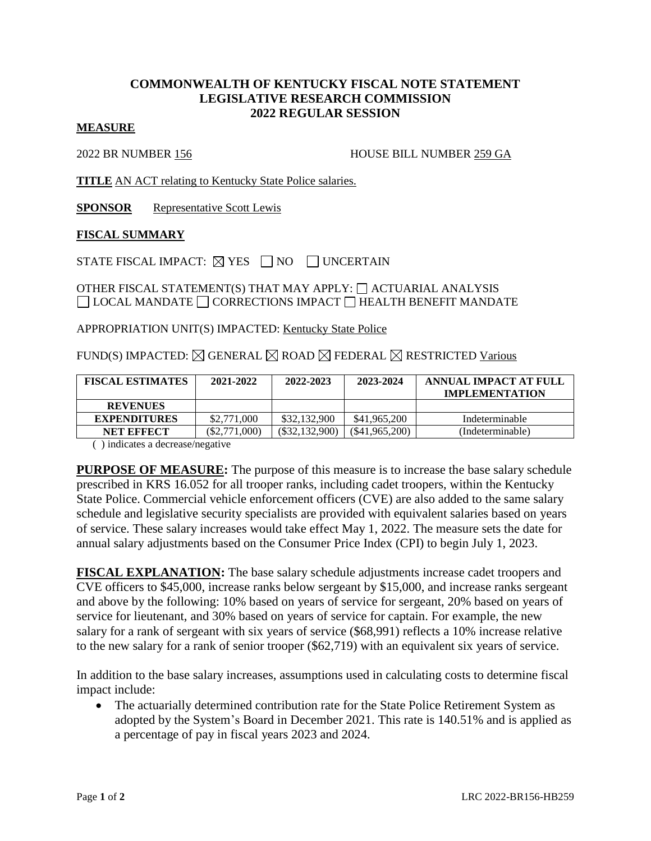# **COMMONWEALTH OF KENTUCKY FISCAL NOTE STATEMENT LEGISLATIVE RESEARCH COMMISSION 2022 REGULAR SESSION**

### **MEASURE**

2022 BR NUMBER 156 HOUSE BILL NUMBER 259 GA

**TITLE** AN ACT relating to Kentucky State Police salaries.

**SPONSOR** Representative Scott Lewis

#### **FISCAL SUMMARY**

STATE FISCAL IMPACT:  $\boxtimes$  YES  $\Box$  NO  $\Box$  UNCERTAIN

## OTHER FISCAL STATEMENT(S) THAT MAY APPLY:  $\Box$  ACTUARIAL ANALYSIS  $\Box$  LOCAL MANDATE  $\Box$  CORRECTIONS IMPACT  $\Box$  HEALTH BENEFIT MANDATE

APPROPRIATION UNIT(S) IMPACTED: Kentucky State Police

## FUND(S) IMPACTED:  $\boxtimes$  GENERAL  $\boxtimes$  ROAD  $\boxtimes$  FEDERAL  $\boxtimes$  RESTRICTED Various

| <b>FISCAL ESTIMATES</b> | 2021-2022       | 2022-2023        | 2023-2024        | ANNUAL IMPACT AT FULL<br><b>IMPLEMENTATION</b> |
|-------------------------|-----------------|------------------|------------------|------------------------------------------------|
| <b>REVENUES</b>         |                 |                  |                  |                                                |
| <b>EXPENDITURES</b>     | \$2,771,000     | \$32,132,900     | \$41,965,200     | Indeterminable                                 |
| NET EFFECT              | $(\$2.771.000)$ | $(\$32,132,900)$ | $(\$41,965,200)$ | (Indeterminable)                               |

( ) indicates a decrease/negative

**PURPOSE OF MEASURE:** The purpose of this measure is to increase the base salary schedule prescribed in KRS 16.052 for all trooper ranks, including cadet troopers, within the Kentucky State Police. Commercial vehicle enforcement officers (CVE) are also added to the same salary schedule and legislative security specialists are provided with equivalent salaries based on years of service. These salary increases would take effect May 1, 2022. The measure sets the date for annual salary adjustments based on the Consumer Price Index (CPI) to begin July 1, 2023.

**FISCAL EXPLANATION:** The base salary schedule adjustments increase cadet troopers and CVE officers to \$45,000, increase ranks below sergeant by \$15,000, and increase ranks sergeant and above by the following: 10% based on years of service for sergeant, 20% based on years of service for lieutenant, and 30% based on years of service for captain. For example, the new salary for a rank of sergeant with six years of service (\$68,991) reflects a 10% increase relative to the new salary for a rank of senior trooper (\$62,719) with an equivalent six years of service.

In addition to the base salary increases, assumptions used in calculating costs to determine fiscal impact include:

• The actuarially determined contribution rate for the State Police Retirement System as adopted by the System's Board in December 2021. This rate is 140.51% and is applied as a percentage of pay in fiscal years 2023 and 2024.